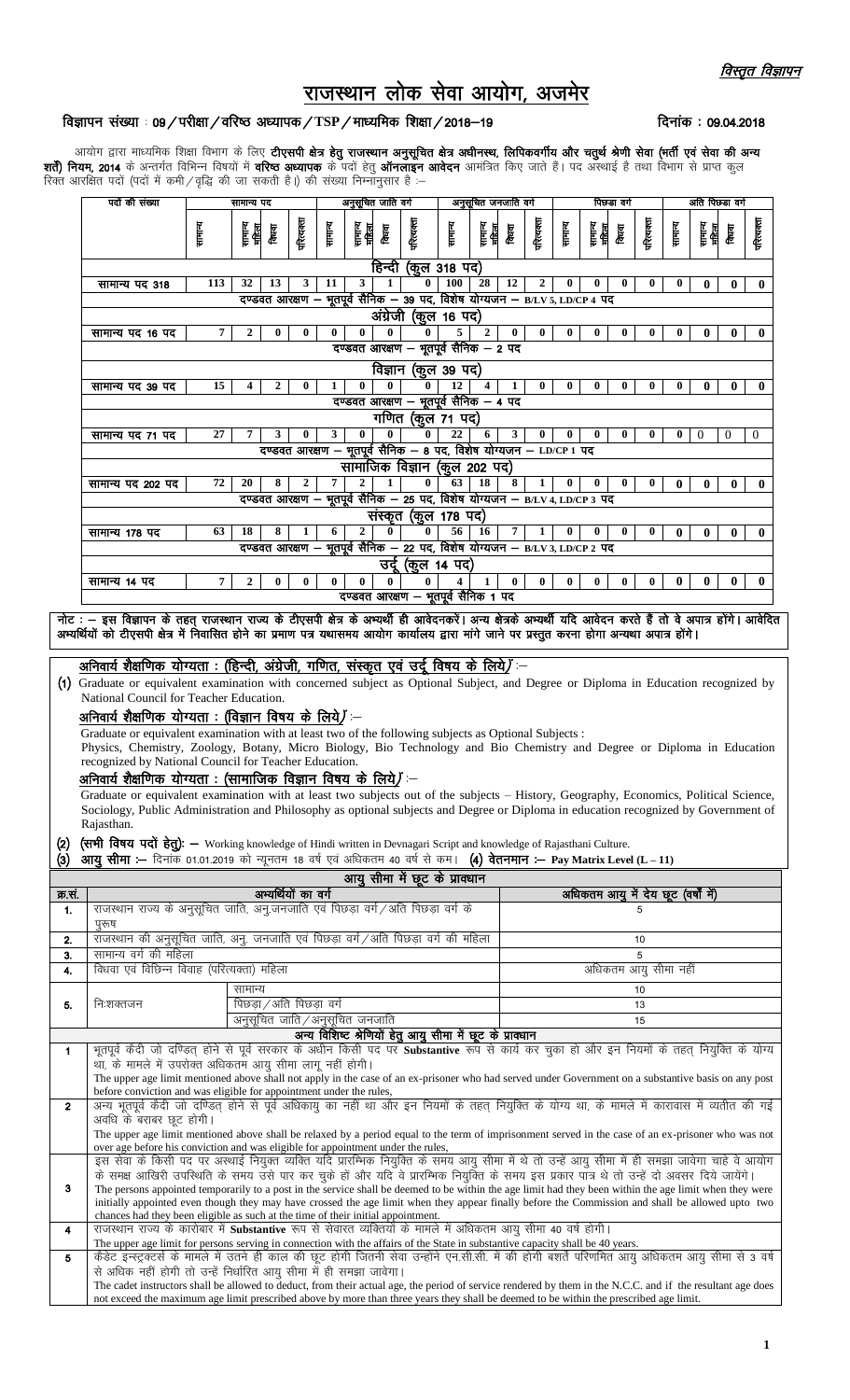## राजस्थान लोक सेवा आयोग, अजमेर

## विज्ञापन संख्या : 09/परीक्षा/वरिष्ठ अध्यापक/TSP/माध्यमिक शिक्षा/2018–19

दिनांक: 09.04.2018

आयोग द्वारा माध्यमिक शिक्षा विभाग के लिए **टीएसपी क्षेत्र हेतु राजस्थान अनुसूचित क्षेत्र अधीनस्थ, लिपिकवर्गीय और चतुर्थ श्रेणी सेवा (भर्ती एवं सेवा की अन्य<br><b>शर्ते) नियम, 2014** के अन्तर्गत विभिन्न विषयों में **वरिष्ठ अध्यापक** 

|                                                                                                                                                                                                                             | पदों की संख्या                                                                                                                                                                                                                                                                                                                          | सामान्य पद     |                                 | अनुसूचित जाति वर्ग  |          |                                                                                            |                      | अनुसूचित जनजाति वर्ग |                         |                           | पिछडा वर्ग     |          |                           | अति पिछडा वर्ग |            |                                     |                  |          |                  |
|-----------------------------------------------------------------------------------------------------------------------------------------------------------------------------------------------------------------------------|-----------------------------------------------------------------------------------------------------------------------------------------------------------------------------------------------------------------------------------------------------------------------------------------------------------------------------------------|----------------|---------------------------------|---------------------|----------|--------------------------------------------------------------------------------------------|----------------------|----------------------|-------------------------|---------------------------|----------------|----------|---------------------------|----------------|------------|-------------------------------------|------------------|----------|------------------|
|                                                                                                                                                                                                                             |                                                                                                                                                                                                                                                                                                                                         | सामान्य        | सामान्य<br>महिला<br>किया        | परित्यक्ता          | सामान्य  | सामन्य<br>महिला<br>属                                                                       | गरित्यक्ता           | सामग                 |                         | सामान्य<br>बिहास<br>किंवा | परित्यक्ता     | सामान्य  | सामान्य<br>बीह्य<br>किंवा |                | गरित्यक्ता | सामग                                | सामान्य<br>महिला | क्रिका   | परित्यक्ता       |
|                                                                                                                                                                                                                             |                                                                                                                                                                                                                                                                                                                                         |                |                                 |                     |          | हिन्दी                                                                                     |                      | (कूल 318 पद)         |                         |                           |                |          |                           |                |            |                                     |                  |          |                  |
|                                                                                                                                                                                                                             | सामान्य पद 318                                                                                                                                                                                                                                                                                                                          | 113            | 32<br>13                        | 3                   | 11       | 3<br>1                                                                                     | 0                    | <b>100</b>           | 28                      | 12                        | $\overline{2}$ |          |                           | $\bf{0}$       | $\bf{0}$   | $\bf{0}$                            | 0                | 0        | $\bf{0}$         |
|                                                                                                                                                                                                                             |                                                                                                                                                                                                                                                                                                                                         |                |                                 |                     |          | दण्डवत आरक्षण – भूतपूर्व सैनिक – 39 पद, विशेष योग्यजन – B/LV 5, LD/CP 4 पद                 |                      |                      |                         |                           |                |          |                           |                |            |                                     |                  |          |                  |
|                                                                                                                                                                                                                             |                                                                                                                                                                                                                                                                                                                                         |                |                                 |                     |          |                                                                                            | अंग्रेजी (कूल 16 पद) |                      |                         |                           |                |          |                           |                |            |                                     |                  |          |                  |
|                                                                                                                                                                                                                             | सामान्य पद 16 पद                                                                                                                                                                                                                                                                                                                        | 7              | $\overline{2}$<br>0             | $\bf{0}$            | 0        | $\bf{0}$<br>$\bf{0}$                                                                       |                      | 5<br>0               | $\overline{2}$          | $\bf{0}$                  | $\bf{0}$       | $\bf{0}$ | $\bf{0}$                  | $\bf{0}$       | $\bf{0}$   | $\bf{0}$                            | 0                | $\bf{0}$ | $\mathbf{0}$     |
|                                                                                                                                                                                                                             |                                                                                                                                                                                                                                                                                                                                         |                |                                 |                     |          | दण्डवत आरक्षण – भूतपूर्व सैनिक – 2 पद                                                      |                      |                      |                         |                           |                |          |                           |                |            |                                     |                  |          |                  |
|                                                                                                                                                                                                                             |                                                                                                                                                                                                                                                                                                                                         |                |                                 |                     |          |                                                                                            | विज्ञान (कुल 39 पद)  |                      |                         |                           |                |          |                           |                |            |                                     |                  |          |                  |
|                                                                                                                                                                                                                             | सामान्य पद 39 पद                                                                                                                                                                                                                                                                                                                        | 15             | 4<br>2                          | 0                   |          | $\bf{0}$                                                                                   | $\bf{0}$             | 12<br>0              | $\overline{\mathbf{4}}$ | 1                         | $\bf{0}$       | $\bf{0}$ | $\bf{0}$                  | $\bf{0}$       | $\bf{0}$   | $\bf{0}$                            | $\bf{0}$         | $\bf{0}$ | $\mathbf{0}$     |
|                                                                                                                                                                                                                             |                                                                                                                                                                                                                                                                                                                                         |                |                                 |                     |          | दण्डवत आरक्षण – भूतपूर्व सैनिक – 4 पद                                                      | गणित (कूल 71 पद)     |                      |                         |                           |                |          |                           |                |            |                                     |                  |          |                  |
|                                                                                                                                                                                                                             | सामान्य पद 71 पद                                                                                                                                                                                                                                                                                                                        | 27             | 7<br>3                          | 0                   | 3        | $\bf{0}$<br>$\bf{0}$                                                                       |                      | 22<br>0              | 6                       | 3                         | 0              | 0        | 0                         | $\bf{0}$       | $\bf{0}$   | $\bf{0}$                            | $\theta$         | $\Omega$ | $\boldsymbol{0}$ |
|                                                                                                                                                                                                                             |                                                                                                                                                                                                                                                                                                                                         |                |                                 |                     |          |                                                                                            |                      |                      |                         |                           |                |          |                           |                |            |                                     |                  |          |                  |
|                                                                                                                                                                                                                             | .<br>दण्डवत आरक्षण – भूतपूर्व सैनिक – 8 पद, विशेष योग्यजन – LD/CP 1 पद<br>सामाजिक विज्ञान (कुल 202 पद)                                                                                                                                                                                                                                  |                |                                 |                     |          |                                                                                            |                      |                      |                         |                           |                |          |                           |                |            |                                     |                  |          |                  |
|                                                                                                                                                                                                                             | सामान्य पद 202 पद                                                                                                                                                                                                                                                                                                                       | 72             | 20<br>8                         | $\overline{2}$      | 7        | 1                                                                                          |                      | $\bf{0}$<br>63       | 18                      | 8                         | 1              | 0        |                           | $\bf{0}$       | $\bf{0}$   | $\mathbf{0}$                        | 0                | $\bf{0}$ | $\mathbf{0}$     |
|                                                                                                                                                                                                                             |                                                                                                                                                                                                                                                                                                                                         |                |                                 |                     |          | दण्डवत आरक्षण – भूतपूर्व सैनिक – 25 पद, विशेष योग्यजन – B/LV 4, LD/CP 3 पद                 |                      |                      |                         |                           |                |          |                           |                |            |                                     |                  |          |                  |
|                                                                                                                                                                                                                             |                                                                                                                                                                                                                                                                                                                                         |                |                                 |                     |          |                                                                                            | संस्कृत (कूल 178 पद) |                      |                         |                           |                |          |                           |                |            |                                     |                  |          |                  |
|                                                                                                                                                                                                                             | सामान्य 178 पद                                                                                                                                                                                                                                                                                                                          | 63             | 18<br>8                         | $\mathbf{1}$        | 6        | $\mathbf{2}$<br>दण्डवत आरक्षण – भूतपूर्व सैनिक – 22 पद, विशेष योग्यजन – B/LV 3, LD/CP 2 पद | $\bf{0}$             | 56<br>$\bf{0}$       | 16                      | $\overline{7}$            | $\mathbf{1}$   | $\bf{0}$ | $\bf{0}$                  | $\bf{0}$       | $\bf{0}$   | $\mathbf{0}$                        | $\bf{0}$         | $\bf{0}$ | $\mathbf{0}$     |
|                                                                                                                                                                                                                             |                                                                                                                                                                                                                                                                                                                                         |                |                                 |                     |          |                                                                                            | उर्दू (कुल 14 पद)    |                      |                         |                           |                |          |                           |                |            |                                     |                  |          |                  |
|                                                                                                                                                                                                                             | सामान्य 14 पद                                                                                                                                                                                                                                                                                                                           | $\overline{7}$ | $\overline{2}$<br>$\bf{0}$      | $\bf{0}$            | $\bf{0}$ | $\bf{0}$<br>$\mathbf{0}$                                                                   |                      | 0<br>4               | $\mathbf{1}$            | $\bf{0}$                  | $\bf{0}$       | $\bf{0}$ | $\bf{0}$                  | $\bf{0}$       | $\bf{0}$   | $\bf{0}$                            | $\bf{0}$         | $\bf{0}$ | $\mathbf{0}$     |
|                                                                                                                                                                                                                             |                                                                                                                                                                                                                                                                                                                                         |                |                                 |                     |          | दण्डवत आरक्षण - भूतपूर्व सैनिक 1 पद                                                        |                      |                      |                         |                           |                |          |                           |                |            |                                     |                  |          |                  |
|                                                                                                                                                                                                                             | नोट : - इस विज्ञापन के तहत् राजस्थान राज्य के टीएसपी क्षेत्र के अभ्यर्थी ही आवेदनकरें। अन्य क्षेत्रके अभ्यर्थी यदि आवेदन करते हैं तो वे अपात्र होंगे। आवेदित<br>अभ्यर्थियों को टीएसपी क्षेत्र में निवासित होने का प्रमाण पत्र यथासमय आयोग कार्यालय द्वारा मांगे जाने पर प्रस्तुत करना होगा अन्यथा अपात्र होंगे।                         |                |                                 |                     |          |                                                                                            |                      |                      |                         |                           |                |          |                           |                |            |                                     |                  |          |                  |
|                                                                                                                                                                                                                             |                                                                                                                                                                                                                                                                                                                                         |                |                                 |                     |          |                                                                                            |                      |                      |                         |                           |                |          |                           |                |            |                                     |                  |          |                  |
|                                                                                                                                                                                                                             | अनिवार्य शैक्षणिक योग्यता : (हिन्दी, अंग्रेजी, गणित, संस्कृत एवं उर्दू विषय के लिये) —                                                                                                                                                                                                                                                  |                |                                 |                     |          |                                                                                            |                      |                      |                         |                           |                |          |                           |                |            |                                     |                  |          |                  |
|                                                                                                                                                                                                                             | (1) Graduate or equivalent examination with concerned subject as Optional Subject, and Degree or Diploma in Education recognized by                                                                                                                                                                                                     |                |                                 |                     |          |                                                                                            |                      |                      |                         |                           |                |          |                           |                |            |                                     |                  |          |                  |
|                                                                                                                                                                                                                             | National Council for Teacher Education.                                                                                                                                                                                                                                                                                                 |                |                                 |                     |          |                                                                                            |                      |                      |                         |                           |                |          |                           |                |            |                                     |                  |          |                  |
|                                                                                                                                                                                                                             | अनिवार्य शैक्षणिक योग्यता : (विज्ञान विषय के लिये) :-                                                                                                                                                                                                                                                                                   |                |                                 |                     |          |                                                                                            |                      |                      |                         |                           |                |          |                           |                |            |                                     |                  |          |                  |
|                                                                                                                                                                                                                             | Graduate or equivalent examination with at least two of the following subjects as Optional Subjects :<br>Physics, Chemistry, Zoology, Botany, Micro Biology, Bio Technology and Bio Chemistry and Degree or Diploma in Education                                                                                                        |                |                                 |                     |          |                                                                                            |                      |                      |                         |                           |                |          |                           |                |            |                                     |                  |          |                  |
|                                                                                                                                                                                                                             | recognized by National Council for Teacher Education.                                                                                                                                                                                                                                                                                   |                |                                 |                     |          |                                                                                            |                      |                      |                         |                           |                |          |                           |                |            |                                     |                  |          |                  |
|                                                                                                                                                                                                                             | अनिवार्य शैक्षणिक योग्यता : (सामाजिक विज्ञान विषय के लिये) —                                                                                                                                                                                                                                                                            |                |                                 |                     |          |                                                                                            |                      |                      |                         |                           |                |          |                           |                |            |                                     |                  |          |                  |
|                                                                                                                                                                                                                             | Graduate or equivalent examination with at least two subjects out of the subjects - History, Geography, Economics, Political Science,                                                                                                                                                                                                   |                |                                 |                     |          |                                                                                            |                      |                      |                         |                           |                |          |                           |                |            |                                     |                  |          |                  |
|                                                                                                                                                                                                                             | Sociology, Public Administration and Philosophy as optional subjects and Degree or Diploma in education recognized by Government of<br>Rajasthan.                                                                                                                                                                                       |                |                                 |                     |          |                                                                                            |                      |                      |                         |                           |                |          |                           |                |            |                                     |                  |          |                  |
| (2)                                                                                                                                                                                                                         | (सभी विषय पदों हेतु): — Working knowledge of Hindi written in Devnagari Script and knowledge of Rajasthani Culture.                                                                                                                                                                                                                     |                |                                 |                     |          |                                                                                            |                      |                      |                         |                           |                |          |                           |                |            |                                     |                  |          |                  |
| (3)                                                                                                                                                                                                                         | आयु सीमा :- दिनांक 01.01.2019 को न्यूनतम 18 वर्ष एवं अधिकतम 40 वर्ष से कम। (4) वेतनमान :- Pay Matrix Level (L - 11)                                                                                                                                                                                                                     |                |                                 |                     |          |                                                                                            |                      |                      |                         |                           |                |          |                           |                |            |                                     |                  |          |                  |
|                                                                                                                                                                                                                             |                                                                                                                                                                                                                                                                                                                                         |                |                                 |                     |          | आयु सीमा में छूट के प्राक्धान                                                              |                      |                      |                         |                           |                |          |                           |                |            |                                     |                  |          |                  |
| क्र.सं.                                                                                                                                                                                                                     |                                                                                                                                                                                                                                                                                                                                         |                |                                 | अभ्यर्थियों का वर्ग |          |                                                                                            |                      |                      |                         |                           |                |          |                           |                |            | अधिकतम आयु में देय छूट (वर्षों में) |                  |          |                  |
| 1.                                                                                                                                                                                                                          | राजस्थान राज्य के अनुसूचित जाति, अनु.जनजाति एवं पिछड़ा वर्ग /अति पिछड़ा वर्ग के                                                                                                                                                                                                                                                         |                |                                 |                     |          |                                                                                            |                      |                      |                         |                           |                |          |                           |                | 5          |                                     |                  |          |                  |
|                                                                                                                                                                                                                             | पुरुष<br>राजस्थान की अनुसूचित जाति, अनु. जनजाति एवं पिछड़ा वर्ग/अति पिछड़ा वर्ग की महिला                                                                                                                                                                                                                                                |                |                                 |                     |          |                                                                                            |                      |                      |                         |                           |                |          |                           |                |            |                                     |                  |          |                  |
| 2.<br>3.                                                                                                                                                                                                                    | सामान्य वर्ग की महिला                                                                                                                                                                                                                                                                                                                   |                |                                 |                     |          |                                                                                            |                      |                      |                         |                           |                |          |                           |                | 10<br>5    |                                     |                  |          |                  |
| 4.                                                                                                                                                                                                                          | विधवा एवं विछिन्न विवाह (परित्यक्ता) महिला                                                                                                                                                                                                                                                                                              |                |                                 |                     |          |                                                                                            |                      |                      |                         |                           |                |          |                           |                |            | अधिकतम आयु सीमा नहीं                |                  |          |                  |
|                                                                                                                                                                                                                             |                                                                                                                                                                                                                                                                                                                                         |                | सामान्य                         |                     |          |                                                                                            |                      |                      |                         |                           |                |          |                           |                | 10         |                                     |                  |          |                  |
| 5.                                                                                                                                                                                                                          | निःशक्तजन                                                                                                                                                                                                                                                                                                                               |                | पिछड़ा / अति पिछड़ा वर्ग        |                     |          |                                                                                            |                      |                      |                         |                           |                |          |                           |                | 13         |                                     |                  |          |                  |
|                                                                                                                                                                                                                             |                                                                                                                                                                                                                                                                                                                                         |                | अनुसूचित जाति / अनुसूचित जनजाति |                     |          |                                                                                            |                      |                      |                         |                           |                |          |                           |                | 15         |                                     |                  |          |                  |
|                                                                                                                                                                                                                             | भूतपूर्व कैदी जो दण्डित् होने से पूर्व सरकार के अधीन किसी पद पर Substantive रूप से कार्य कर चुका हो और इन नियमों के तहत नियुक्ति के योग्य                                                                                                                                                                                               |                |                                 |                     |          | अन्य विशिष्ट श्रेणियों हेतु आयु सीमा में छूट के प्रावधान                                   |                      |                      |                         |                           |                |          |                           |                |            |                                     |                  |          |                  |
| $\mathbf{1}$                                                                                                                                                                                                                | था, के मामले में उपरोक्त अधिकतम आयु सीमा लागू नहीं होगी।                                                                                                                                                                                                                                                                                |                |                                 |                     |          |                                                                                            |                      |                      |                         |                           |                |          |                           |                |            |                                     |                  |          |                  |
|                                                                                                                                                                                                                             |                                                                                                                                                                                                                                                                                                                                         |                |                                 |                     |          |                                                                                            |                      |                      |                         |                           |                |          |                           |                |            |                                     |                  |          |                  |
| The upper age limit mentioned above shall not apply in the case of an ex-prisoner who had served under Government on a substantive basis on any post<br>before conviction and was eligible for appointment under the rules, |                                                                                                                                                                                                                                                                                                                                         |                |                                 |                     |          |                                                                                            |                      |                      |                         |                           |                |          |                           |                |            |                                     |                  |          |                  |
| $\mathbf{2}$                                                                                                                                                                                                                | .<br>अन्य भूतपूर्व केंदी जो दण्डित् होने से पूर्व अधिकायु का नहीं था और इन नियमों के तहत् नियुक्ति के योग्य था, के मामले में कारावास में व्यतीत की गई<br>अवधि के बराबर छूट होगी।<br>The upper age limit mentioned above shall be relaxed by a period equal to the term of imprisonment served in the case of an ex-prisoner who was not |                |                                 |                     |          |                                                                                            |                      |                      |                         |                           |                |          |                           |                |            |                                     |                  |          |                  |
|                                                                                                                                                                                                                             |                                                                                                                                                                                                                                                                                                                                         |                |                                 |                     |          |                                                                                            |                      |                      |                         |                           |                |          |                           |                |            |                                     |                  |          |                  |
|                                                                                                                                                                                                                             | over age before his conviction and was eligible for appointment under the rules,                                                                                                                                                                                                                                                        |                |                                 |                     |          |                                                                                            |                      |                      |                         |                           |                |          |                           |                |            |                                     |                  |          |                  |
|                                                                                                                                                                                                                             | इस सेवा के किसी पद पर अस्थाई नियुक्त व्यक्ति यदि प्रारम्भिक नियुक्ति के समय आयु सीमा में थे तो उन्हें आयु सीमा में ही समझा जावेगा चाहे वे आयोग<br>के समक्ष आखिरी उपस्थिति के समय उसे पार कर चुके हों और यदि वे प्रारम्भिक नियुक्ति के समय इस प्रकार पात्र थे तो उन्हें दो अवसर दिये जायेंगे।                                            |                |                                 |                     |          |                                                                                            |                      |                      |                         |                           |                |          |                           |                |            |                                     |                  |          |                  |
| 3                                                                                                                                                                                                                           | The persons appointed temporarily to a post in the service shall be deemed to be within the age limit had they been within the age limit when they were                                                                                                                                                                                 |                |                                 |                     |          |                                                                                            |                      |                      |                         |                           |                |          |                           |                |            |                                     |                  |          |                  |
|                                                                                                                                                                                                                             | initially appointed even though they may have crossed the age limit when they appear finally before the Commission and shall be allowed upto two<br>chances had they been eligible as such at the time of their initial appointment.                                                                                                    |                |                                 |                     |          |                                                                                            |                      |                      |                         |                           |                |          |                           |                |            |                                     |                  |          |                  |
| 4                                                                                                                                                                                                                           | राजस्थान राज्य के कारोबार में <b>Substantive</b> रूप से सेवारत व्यक्तियों के मामले में अधिकतम आयु सीमा 40 वर्ष होगी।                                                                                                                                                                                                                    |                |                                 |                     |          |                                                                                            |                      |                      |                         |                           |                |          |                           |                |            |                                     |                  |          |                  |
|                                                                                                                                                                                                                             | The upper age limit for persons serving in connection with the affairs of the State in substantive capacity shall be 40 years.                                                                                                                                                                                                          |                |                                 |                     |          |                                                                                            |                      |                      |                         |                           |                |          |                           |                |            |                                     |                  |          |                  |
| 5                                                                                                                                                                                                                           | कैडेट इन्स्ट्रक्टर्स के मामले में उतने ही काल की छूट होगी जितनी सेवा उन्होंने एन.सी.सी. में की होगी बशर्ते परिणमित आयु अधिकतम आयु सीमा से 3 वर्ष                                                                                                                                                                                        |                |                                 |                     |          |                                                                                            |                      |                      |                         |                           |                |          |                           |                |            |                                     |                  |          |                  |
|                                                                                                                                                                                                                             | से अधिक नहीं होगी तो उन्हें निर्धारित आयु सीमा में ही समझा जावेगा।<br>The cadet instructors shall be allowed to deduct, from their actual age, the period of service rendered by them in the N.C.C. and if the resultant age does                                                                                                       |                |                                 |                     |          |                                                                                            |                      |                      |                         |                           |                |          |                           |                |            |                                     |                  |          |                  |
|                                                                                                                                                                                                                             | not exceed the maximum age limit prescribed above by more than three years they shall be deemed to be within the prescribed age limit.                                                                                                                                                                                                  |                |                                 |                     |          |                                                                                            |                      |                      |                         |                           |                |          |                           |                |            |                                     |                  |          |                  |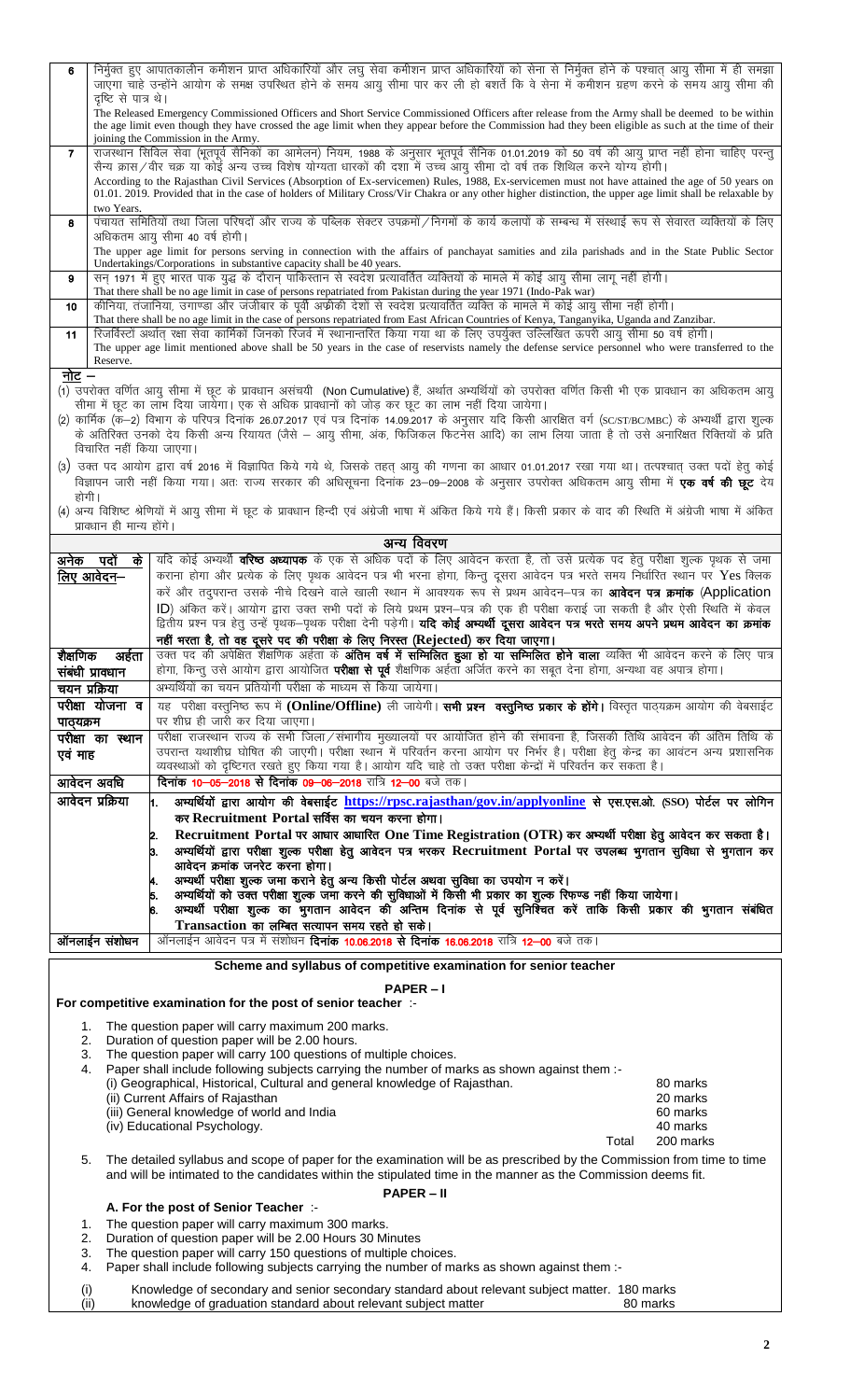| 6                                                                                                                                                                                                                                                                                                                                                                                                          | दृष्टि से पात्र थे।                                                                                                                                                                                                                                                                                                                                                                                                                                  | निर्मुक्त हुए आपातकालीन कमीशन प्राप्त अधिकारियों और लघु सेवा कमीशन प्राप्त अधिकारियों को सेना से निर्मुक्त होने के पश्चात् आयु सीमा में ही समझा<br>जाएगा चाहे उन्होंने आयोग के समक्ष उपस्थित होने के समय आयु सीमा पार कर ली हो बशर्ते कि वे सेना में कमीशन ग्रहण करने के समय आयु सीमा की                                                                                                                                                                                                                                                                                                                                                                                        |  |  |  |  |  |  |  |  |
|------------------------------------------------------------------------------------------------------------------------------------------------------------------------------------------------------------------------------------------------------------------------------------------------------------------------------------------------------------------------------------------------------------|------------------------------------------------------------------------------------------------------------------------------------------------------------------------------------------------------------------------------------------------------------------------------------------------------------------------------------------------------------------------------------------------------------------------------------------------------|---------------------------------------------------------------------------------------------------------------------------------------------------------------------------------------------------------------------------------------------------------------------------------------------------------------------------------------------------------------------------------------------------------------------------------------------------------------------------------------------------------------------------------------------------------------------------------------------------------------------------------------------------------------------------------|--|--|--|--|--|--|--|--|
|                                                                                                                                                                                                                                                                                                                                                                                                            |                                                                                                                                                                                                                                                                                                                                                                                                                                                      | The Released Emergency Commissioned Officers and Short Service Commissioned Officers after release from the Army shall be deemed to be within<br>the age limit even though they have crossed the age limit when they appear before the Commission had they been eligible as such at the time of their<br>joining the Commission in the Army.                                                                                                                                                                                                                                                                                                                                    |  |  |  |  |  |  |  |  |
| $\mathbf{7}$                                                                                                                                                                                                                                                                                                                                                                                               |                                                                                                                                                                                                                                                                                                                                                                                                                                                      | राजस्थान सिविल सेवा (भूतपूर्व सैनिकों का आमेलन) नियम, 1988 के अनुसार भूतपूर्व सैनिक 01.01.2019 को 50 वर्ष की आयु प्राप्त नहीं होना चाहिए परन्तु                                                                                                                                                                                                                                                                                                                                                                                                                                                                                                                                 |  |  |  |  |  |  |  |  |
|                                                                                                                                                                                                                                                                                                                                                                                                            | सैन्य क्रास/वीर चक्र या कोई अन्य उच्च विशेष योग्यता धारकों की दशा में उच्च आयु सीमा दो वर्ष तक शिथिल करने योग्य होगी।<br>According to the Rajasthan Civil Services (Absorption of Ex-servicemen) Rules, 1988, Ex-servicemen must not have attained the age of 50 years on<br>01.01. 2019. Provided that in the case of holders of Military Cross/Vir Chakra or any other higher distinction, the upper age limit shall be relaxable by<br>two Years. |                                                                                                                                                                                                                                                                                                                                                                                                                                                                                                                                                                                                                                                                                 |  |  |  |  |  |  |  |  |
| पंचायत समितियों तथा जिला परिषदों और राज्य के पब्लिक सेक्टर उपक्रमों ⁄निगमों के कार्य कलापों के सम्बन्ध में संस्थाई रूप से सेवारत व्यक्तियों के लिए<br>8<br>अधिकतम आयू सीमा 40 वर्ष होगी।                                                                                                                                                                                                                   |                                                                                                                                                                                                                                                                                                                                                                                                                                                      |                                                                                                                                                                                                                                                                                                                                                                                                                                                                                                                                                                                                                                                                                 |  |  |  |  |  |  |  |  |
|                                                                                                                                                                                                                                                                                                                                                                                                            |                                                                                                                                                                                                                                                                                                                                                                                                                                                      | The upper age limit for persons serving in connection with the affairs of panchayat samities and zila parishads and in the State Public Sector<br>Undertakings/Corporations in substantive capacity shall be 40 years.                                                                                                                                                                                                                                                                                                                                                                                                                                                          |  |  |  |  |  |  |  |  |
| सन् 1971 में हुए भारत पाक युद्ध के दौरान् पाकिस्तान से स्वदेश प्रत्यावर्तित व्यक्तियों के मामले में कोई आयु सीमा लागू नहीं होगी।<br>9                                                                                                                                                                                                                                                                      |                                                                                                                                                                                                                                                                                                                                                                                                                                                      |                                                                                                                                                                                                                                                                                                                                                                                                                                                                                                                                                                                                                                                                                 |  |  |  |  |  |  |  |  |
| That there shall be no age limit in case of persons repatriated from Pakistan during the year 1971 (Indo-Pak war)<br>कीनिया, तंजानिया, उगाण्डा और जंजीबार के पूर्वी अफ्रीकी देशों से स्वदेश प्रत्यावर्तित व्यक्ति के मामले में कोई आयु सीमा नहीं होगी।<br>10<br>That there shall be no age limit in the case of persons repatriated from East African Countries of Kenya, Tanganyika, Uganda and Zanzibar. |                                                                                                                                                                                                                                                                                                                                                                                                                                                      |                                                                                                                                                                                                                                                                                                                                                                                                                                                                                                                                                                                                                                                                                 |  |  |  |  |  |  |  |  |
|                                                                                                                                                                                                                                                                                                                                                                                                            | रिजर्विस्टों अर्थात् रक्षा सेवा कार्मिकों जिनको रिजर्व में स्थानान्तरित किया गया था के लिए उपर्युक्त उल्लिखित ऊपरी आयु सीमा 50 वर्ष होगी।<br>11<br>The upper age limit mentioned above shall be 50 years in the case of reservists namely the defense service personnel who were transferred to the<br>Reserve.                                                                                                                                      |                                                                                                                                                                                                                                                                                                                                                                                                                                                                                                                                                                                                                                                                                 |  |  |  |  |  |  |  |  |
| नोट –                                                                                                                                                                                                                                                                                                                                                                                                      |                                                                                                                                                                                                                                                                                                                                                                                                                                                      | (1) उपरोक्त वर्णित आयु सीमा में छूट के प्रावधान असंचयी (Non Cumulative) हैं, अर्थात अभ्यर्थियों को उपरोक्त वर्णित किसी भी एक प्रावधान का अधिकतम आयु                                                                                                                                                                                                                                                                                                                                                                                                                                                                                                                             |  |  |  |  |  |  |  |  |
|                                                                                                                                                                                                                                                                                                                                                                                                            |                                                                                                                                                                                                                                                                                                                                                                                                                                                      | सीमा में छूट का लाभ दिया जायेगा। एक से अधिक प्रावधानों को जोड़ कर छूट का लाभ नहीं दिया जायेगा।<br>(2) कार्मिक (क—2) विभाग के परिपत्र दिनांक 26.07.2017 एवं पत्र दिनांक 14.09.2017 के अनुसार यदि किसी आरक्षित वर्ग (SC/ST/BC/MBC) के अभ्यर्थी द्वारा शुल्क<br>के अतिरिक्त उनको देय किसी अन्य रियायत (जैसे – आयु सीमा, अंक, फिजिकल फिटनेस आदि) का लाभ लिया जाता है तो उसे अनारिक्षत रिक्तियों के प्रति                                                                                                                                                                                                                                                                            |  |  |  |  |  |  |  |  |
|                                                                                                                                                                                                                                                                                                                                                                                                            | विचारित नहीं किया जाएगा।                                                                                                                                                                                                                                                                                                                                                                                                                             |                                                                                                                                                                                                                                                                                                                                                                                                                                                                                                                                                                                                                                                                                 |  |  |  |  |  |  |  |  |
| होगी।                                                                                                                                                                                                                                                                                                                                                                                                      |                                                                                                                                                                                                                                                                                                                                                                                                                                                      | (3) उक्त पद आयोग द्वारा वर्ष 2016 में विज्ञापित किये गये थे, जिसके तहत् आयु की गणना का आधार 01.01.2017 रखा गया था। तत्पश्चात् उक्त पदों हेतु कोई<br>विज्ञापन जारी नहीं किया गया। अतः राज्य सरकार की अधिसूचना दिनांक 23–09–2008 के अनुसार उपरोक्त अधिकतम आयु सीमा में <b>एक वर्ष की छूट</b> देय                                                                                                                                                                                                                                                                                                                                                                                  |  |  |  |  |  |  |  |  |
|                                                                                                                                                                                                                                                                                                                                                                                                            | प्रावधान ही मान्य होंगे।                                                                                                                                                                                                                                                                                                                                                                                                                             | (4) अन्य विशिष्ट श्रेणियों में आयु सीमा में छूट के प्रावधान हिन्दी एवं अंग्रेजी भाषा में अंकित किये गये हैं। किसी प्रकार के वाद की स्थिति में अंग्रेजी भाषा में अंकित                                                                                                                                                                                                                                                                                                                                                                                                                                                                                                           |  |  |  |  |  |  |  |  |
|                                                                                                                                                                                                                                                                                                                                                                                                            |                                                                                                                                                                                                                                                                                                                                                                                                                                                      | अन्य विवरण                                                                                                                                                                                                                                                                                                                                                                                                                                                                                                                                                                                                                                                                      |  |  |  |  |  |  |  |  |
|                                                                                                                                                                                                                                                                                                                                                                                                            | अनेक पदों<br>के<br>लिए आवेदन–                                                                                                                                                                                                                                                                                                                                                                                                                        | यदि कोई अभ्यर्थी <b>वरिष्ठ अध्यापक</b> के एक से अधिक पदों के लिए आवेदन करता है, तो उसे प्रत्येक पद हेतु परीक्षा शुल्क पृथक से जमा<br>कराना होगा और प्रत्येक के लिए पृथक आवेदन पत्र भी भरना होगा, किन्तु दूसरा आवेदन पत्र भरते समय निर्धारित स्थान पर Yes क्लिक<br>करें और तदुपरान्त उसके नीचे दिखने वाले खाली स्थान में आवश्यक रूप से प्रथम आवेदन—पत्र का <b>आवेदन पत्र क्रमांक (Application</b><br>ID) अंकित करें। आयोग द्वारा उक्त सभी पदों के लिये प्रथम प्रश्न–पत्र की एक ही परीक्षा कराई जा सकती है और ऐसी स्थिति में केवल<br>द्वितीय प्रश्न पत्र हेतु उन्हें पृथक–पृथक परीक्षा देनी पड़ेगी। <b>यदि कोई अभ्यर्थी दूसरा आवेदन पत्र भरते समय अपने प्रथम आवेदन का क्रमांक</b> |  |  |  |  |  |  |  |  |
| शैक्षणिक                                                                                                                                                                                                                                                                                                                                                                                                   | अर्हता                                                                                                                                                                                                                                                                                                                                                                                                                                               | नहीं भरता है, तो वह दूसरे पद की परीक्षा के लिए निरस्त (Rejected) कर दिया जाएगा।<br>उक्त पद की अपेक्षित शैक्षणिक अर्हता के <b>अंतिम वर्ष में सम्मिलित हुआ हो या सम्मिलित होने वाला</b> व्यक्ति भी आवेदन करने के लिए पात्र                                                                                                                                                                                                                                                                                                                                                                                                                                                        |  |  |  |  |  |  |  |  |
|                                                                                                                                                                                                                                                                                                                                                                                                            | संबंधी प्रावधान<br>चयन प्रक्रिया                                                                                                                                                                                                                                                                                                                                                                                                                     | होगा, किन्तु उसे आयोग द्वारा आयोजित <b>परीक्षा से पूर्व</b> शैक्षणिक अर्हता अर्जित करने का सबूत देना होगा, अन्यथा वह अपात्र होगा।<br>अभ्यर्थियों का चयन प्रतियोगी परीक्षा के माध्यम से किया जायेगा।                                                                                                                                                                                                                                                                                                                                                                                                                                                                             |  |  |  |  |  |  |  |  |
|                                                                                                                                                                                                                                                                                                                                                                                                            | परीक्षा योजना व                                                                                                                                                                                                                                                                                                                                                                                                                                      | यह परीक्षा वस्तुनिष्ठ रूप में (Online/Offline) ली जायेगी। सभी प्रश्न वस्तुनिष्ठ प्रकार के होंगे। विस्तृत पाठ्यक्रम आयोग की वेबसाईट                                                                                                                                                                                                                                                                                                                                                                                                                                                                                                                                              |  |  |  |  |  |  |  |  |
| पाठ्यक्रम                                                                                                                                                                                                                                                                                                                                                                                                  |                                                                                                                                                                                                                                                                                                                                                                                                                                                      | पर शीघ्र ही जारी कर दिया जाएगा।                                                                                                                                                                                                                                                                                                                                                                                                                                                                                                                                                                                                                                                 |  |  |  |  |  |  |  |  |
| एवं माह                                                                                                                                                                                                                                                                                                                                                                                                    | परीक्षा का स्थान                                                                                                                                                                                                                                                                                                                                                                                                                                     | परीक्षा राजस्थान राज्य के सभी जिला/संभागीय मुख्यालयों पर आयोजित होने की संभावना है, जिसकी तिथि आवेदन की अंतिम तिथि के<br>उपरान्त यथाशीघ्र घोषित की जाएगी। परीक्षा स्थान में परिवर्तन करना आयोग पर निर्भर है। परीक्षा हेतु केन्द्र का आवंटन अन्य प्रशासनिक<br>व्यवस्थाओं को दृष्टिगत रखते हुए किया गया है। आयोग यदि चाहे तो उक्त परीक्षा केन्द्रों में परिवर्तन कर सकता है।                                                                                                                                                                                                                                                                                                      |  |  |  |  |  |  |  |  |
|                                                                                                                                                                                                                                                                                                                                                                                                            | आवेदन अवधि                                                                                                                                                                                                                                                                                                                                                                                                                                           | <b>दिनांक 10–05–2018 से दिनांक 09–06–2018</b> रात्रि 12–00 बजे तक।                                                                                                                                                                                                                                                                                                                                                                                                                                                                                                                                                                                                              |  |  |  |  |  |  |  |  |
|                                                                                                                                                                                                                                                                                                                                                                                                            | आवेदन प्रक्रिया                                                                                                                                                                                                                                                                                                                                                                                                                                      | अभ्यर्थियों द्वारा आयोग की वेबसाईट https://rpsc.rajasthan/gov.in/applyonline से एस.एस.ओ. (SSO) पोर्टल पर लोगिन<br>1.<br>कर Recruitment Portal सर्विस का चयन करना होगा।                                                                                                                                                                                                                                                                                                                                                                                                                                                                                                          |  |  |  |  |  |  |  |  |
|                                                                                                                                                                                                                                                                                                                                                                                                            |                                                                                                                                                                                                                                                                                                                                                                                                                                                      | Recruitment Portal पर आधार आधारित One Time Registration (OTR) कर अभ्यर्थी परीक्षा हेतु आवेदन कर सकता है।<br>2.<br>अभ्यर्थियों द्वारा परीक्षा शुल्क परीक्षा हेतु आवेदन पत्र भरकर Recruitment Portal पर उपलब्ध भुगतान सुविधा से भुगतान कर<br>З.<br>आवेदन क्रमांक जनरेट करना होगा।                                                                                                                                                                                                                                                                                                                                                                                                 |  |  |  |  |  |  |  |  |
|                                                                                                                                                                                                                                                                                                                                                                                                            |                                                                                                                                                                                                                                                                                                                                                                                                                                                      | अभ्यर्थी परीक्षा शुल्क जमा कराने हेतु अन्य किसी पोर्टल अथवा सुविधा का उपयोग न करें।<br>अभ्यर्थियों को उक्त परीक्षा शुल्क जमा करने की सुविधाओं में किसी भी प्रकार का शुल्क रिफण्ड नहीं किया जायेगा।<br>5.<br>अभ्यर्थी परीक्षा शुल्क का भुगतान आवेदन की अन्तिम दिनांक से पूर्व सुनिश्चित करें ताकि किसी प्रकार की भुगतान संबंधित                                                                                                                                                                                                                                                                                                                                                  |  |  |  |  |  |  |  |  |
|                                                                                                                                                                                                                                                                                                                                                                                                            | ऑनलाईन संशोधन                                                                                                                                                                                                                                                                                                                                                                                                                                        | Transaction का लम्बित सत्यापन समय रहते हो सके।<br>ऑनलाईन आवेदन पत्र में संशोधन <b>दिनांक 10.06.2018 से दिनांक 16.06.2018</b> रात्रि <b>12–00</b> बजे तक।                                                                                                                                                                                                                                                                                                                                                                                                                                                                                                                        |  |  |  |  |  |  |  |  |
|                                                                                                                                                                                                                                                                                                                                                                                                            |                                                                                                                                                                                                                                                                                                                                                                                                                                                      |                                                                                                                                                                                                                                                                                                                                                                                                                                                                                                                                                                                                                                                                                 |  |  |  |  |  |  |  |  |
|                                                                                                                                                                                                                                                                                                                                                                                                            |                                                                                                                                                                                                                                                                                                                                                                                                                                                      | Scheme and syllabus of competitive examination for senior teacher<br><b>PAPER-I</b>                                                                                                                                                                                                                                                                                                                                                                                                                                                                                                                                                                                             |  |  |  |  |  |  |  |  |
|                                                                                                                                                                                                                                                                                                                                                                                                            |                                                                                                                                                                                                                                                                                                                                                                                                                                                      | For competitive examination for the post of senior teacher :-                                                                                                                                                                                                                                                                                                                                                                                                                                                                                                                                                                                                                   |  |  |  |  |  |  |  |  |
| 1.                                                                                                                                                                                                                                                                                                                                                                                                         |                                                                                                                                                                                                                                                                                                                                                                                                                                                      | The question paper will carry maximum 200 marks.                                                                                                                                                                                                                                                                                                                                                                                                                                                                                                                                                                                                                                |  |  |  |  |  |  |  |  |
| 2.<br>Duration of question paper will be 2.00 hours.<br>The question paper will carry 100 questions of multiple choices.<br>3.                                                                                                                                                                                                                                                                             |                                                                                                                                                                                                                                                                                                                                                                                                                                                      |                                                                                                                                                                                                                                                                                                                                                                                                                                                                                                                                                                                                                                                                                 |  |  |  |  |  |  |  |  |
| 4.                                                                                                                                                                                                                                                                                                                                                                                                         |                                                                                                                                                                                                                                                                                                                                                                                                                                                      | Paper shall include following subjects carrying the number of marks as shown against them :-                                                                                                                                                                                                                                                                                                                                                                                                                                                                                                                                                                                    |  |  |  |  |  |  |  |  |
|                                                                                                                                                                                                                                                                                                                                                                                                            |                                                                                                                                                                                                                                                                                                                                                                                                                                                      | (i) Geographical, Historical, Cultural and general knowledge of Rajasthan.<br>80 marks<br>(ii) Current Affairs of Rajasthan<br>20 marks                                                                                                                                                                                                                                                                                                                                                                                                                                                                                                                                         |  |  |  |  |  |  |  |  |
|                                                                                                                                                                                                                                                                                                                                                                                                            |                                                                                                                                                                                                                                                                                                                                                                                                                                                      | (iii) General knowledge of world and India<br>60 marks                                                                                                                                                                                                                                                                                                                                                                                                                                                                                                                                                                                                                          |  |  |  |  |  |  |  |  |
|                                                                                                                                                                                                                                                                                                                                                                                                            |                                                                                                                                                                                                                                                                                                                                                                                                                                                      | (iv) Educational Psychology.<br>40 marks<br>Total<br>200 marks                                                                                                                                                                                                                                                                                                                                                                                                                                                                                                                                                                                                                  |  |  |  |  |  |  |  |  |
| The detailed syllabus and scope of paper for the examination will be as prescribed by the Commission from time to time<br>5.<br>and will be intimated to the candidates within the stipulated time in the manner as the Commission deems fit.                                                                                                                                                              |                                                                                                                                                                                                                                                                                                                                                                                                                                                      |                                                                                                                                                                                                                                                                                                                                                                                                                                                                                                                                                                                                                                                                                 |  |  |  |  |  |  |  |  |
|                                                                                                                                                                                                                                                                                                                                                                                                            | <b>PAPER-II</b><br>A. For the post of Senior Teacher :-                                                                                                                                                                                                                                                                                                                                                                                              |                                                                                                                                                                                                                                                                                                                                                                                                                                                                                                                                                                                                                                                                                 |  |  |  |  |  |  |  |  |
| 1.                                                                                                                                                                                                                                                                                                                                                                                                         |                                                                                                                                                                                                                                                                                                                                                                                                                                                      | The question paper will carry maximum 300 marks.                                                                                                                                                                                                                                                                                                                                                                                                                                                                                                                                                                                                                                |  |  |  |  |  |  |  |  |
| Duration of question paper will be 2.00 Hours 30 Minutes<br>2.<br>The question paper will carry 150 questions of multiple choices.<br>3.                                                                                                                                                                                                                                                                   |                                                                                                                                                                                                                                                                                                                                                                                                                                                      |                                                                                                                                                                                                                                                                                                                                                                                                                                                                                                                                                                                                                                                                                 |  |  |  |  |  |  |  |  |
| 4.                                                                                                                                                                                                                                                                                                                                                                                                         |                                                                                                                                                                                                                                                                                                                                                                                                                                                      | Paper shall include following subjects carrying the number of marks as shown against them :-                                                                                                                                                                                                                                                                                                                                                                                                                                                                                                                                                                                    |  |  |  |  |  |  |  |  |
| (i)                                                                                                                                                                                                                                                                                                                                                                                                        | (ii)                                                                                                                                                                                                                                                                                                                                                                                                                                                 | Knowledge of secondary and senior secondary standard about relevant subject matter. 180 marks<br>knowledge of graduation standard about relevant subiect matter<br>80 marks                                                                                                                                                                                                                                                                                                                                                                                                                                                                                                     |  |  |  |  |  |  |  |  |